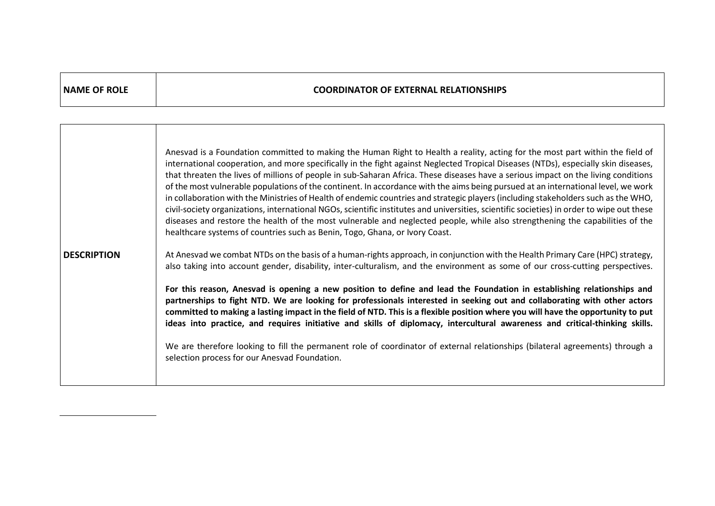| <b>NAME OF ROLE</b> | <b>COORDINATOR OF EXTERNAL RELATIONSHIPS</b>                                                                                                                                                                                                                                                                                                                                                                                                                                                                                                                                                                                                                                                                                                                                                                                                                                                                                                                                                                                                       |
|---------------------|----------------------------------------------------------------------------------------------------------------------------------------------------------------------------------------------------------------------------------------------------------------------------------------------------------------------------------------------------------------------------------------------------------------------------------------------------------------------------------------------------------------------------------------------------------------------------------------------------------------------------------------------------------------------------------------------------------------------------------------------------------------------------------------------------------------------------------------------------------------------------------------------------------------------------------------------------------------------------------------------------------------------------------------------------|
|                     |                                                                                                                                                                                                                                                                                                                                                                                                                                                                                                                                                                                                                                                                                                                                                                                                                                                                                                                                                                                                                                                    |
|                     | Anesvad is a Foundation committed to making the Human Right to Health a reality, acting for the most part within the field of<br>international cooperation, and more specifically in the fight against Neglected Tropical Diseases (NTDs), especially skin diseases,<br>that threaten the lives of millions of people in sub-Saharan Africa. These diseases have a serious impact on the living conditions<br>of the most vulnerable populations of the continent. In accordance with the aims being pursued at an international level, we work<br>in collaboration with the Ministries of Health of endemic countries and strategic players (including stakeholders such as the WHO,<br>civil-society organizations, international NGOs, scientific institutes and universities, scientific societies) in order to wipe out these<br>diseases and restore the health of the most vulnerable and neglected people, while also strengthening the capabilities of the<br>healthcare systems of countries such as Benin, Togo, Ghana, or Ivory Coast. |
| <b>DESCRIPTION</b>  | At Anesvad we combat NTDs on the basis of a human-rights approach, in conjunction with the Health Primary Care (HPC) strategy,<br>also taking into account gender, disability, inter-culturalism, and the environment as some of our cross-cutting perspectives.                                                                                                                                                                                                                                                                                                                                                                                                                                                                                                                                                                                                                                                                                                                                                                                   |
|                     | For this reason, Anesvad is opening a new position to define and lead the Foundation in establishing relationships and<br>partnerships to fight NTD. We are looking for professionals interested in seeking out and collaborating with other actors<br>committed to making a lasting impact in the field of NTD. This is a flexible position where you will have the opportunity to put<br>ideas into practice, and requires initiative and skills of diplomacy, intercultural awareness and critical-thinking skills.                                                                                                                                                                                                                                                                                                                                                                                                                                                                                                                             |
|                     | We are therefore looking to fill the permanent role of coordinator of external relationships (bilateral agreements) through a<br>selection process for our Anesvad Foundation.                                                                                                                                                                                                                                                                                                                                                                                                                                                                                                                                                                                                                                                                                                                                                                                                                                                                     |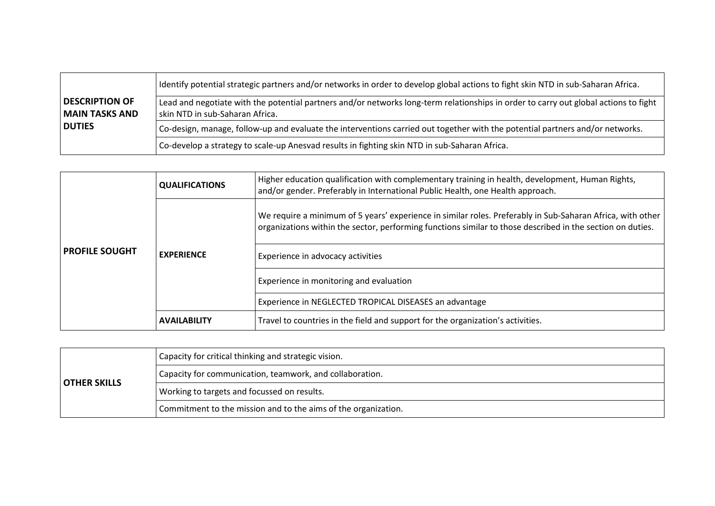|                                                | l Identify potential strategic partners and/or networks in order to develop global actions to fight skin NTD in sub-Saharan Africa.                                     |  |
|------------------------------------------------|-------------------------------------------------------------------------------------------------------------------------------------------------------------------------|--|
| <b>DESCRIPTION OF</b><br><b>MAIN TASKS AND</b> | Lead and negotiate with the potential partners and/or networks long-term relationships in order to carry out global actions to fight<br>skin NTD in sub-Saharan Africa. |  |
| <b>DUTIES</b>                                  | Co-design, manage, follow-up and evaluate the interventions carried out together with the potential partners and/or networks.                                           |  |
|                                                | Co-develop a strategy to scale-up Anesvad results in fighting skin NTD in sub-Saharan Africa.                                                                           |  |

| <b>PROFILE SOUGHT</b> | <b>QUALIFICATIONS</b> | Higher education qualification with complementary training in health, development, Human Rights,<br>and/or gender. Preferably in International Public Health, one Health approach.                                       |
|-----------------------|-----------------------|--------------------------------------------------------------------------------------------------------------------------------------------------------------------------------------------------------------------------|
|                       | <b>EXPERIENCE</b>     | We require a minimum of 5 years' experience in similar roles. Preferably in Sub-Saharan Africa, with other<br>organizations within the sector, performing functions similar to those described in the section on duties. |
|                       |                       | Experience in advocacy activities                                                                                                                                                                                        |
|                       |                       | Experience in monitoring and evaluation                                                                                                                                                                                  |
|                       |                       | Experience in NEGLECTED TROPICAL DISEASES an advantage                                                                                                                                                                   |
|                       | <b>AVAILABILITY</b>   | Travel to countries in the field and support for the organization's activities.                                                                                                                                          |

| <b>OTHER SKILLS</b> | Capacity for critical thinking and strategic vision.           |
|---------------------|----------------------------------------------------------------|
|                     | Capacity for communication, teamwork, and collaboration.       |
|                     | Working to targets and focussed on results.                    |
|                     | Commitment to the mission and to the aims of the organization. |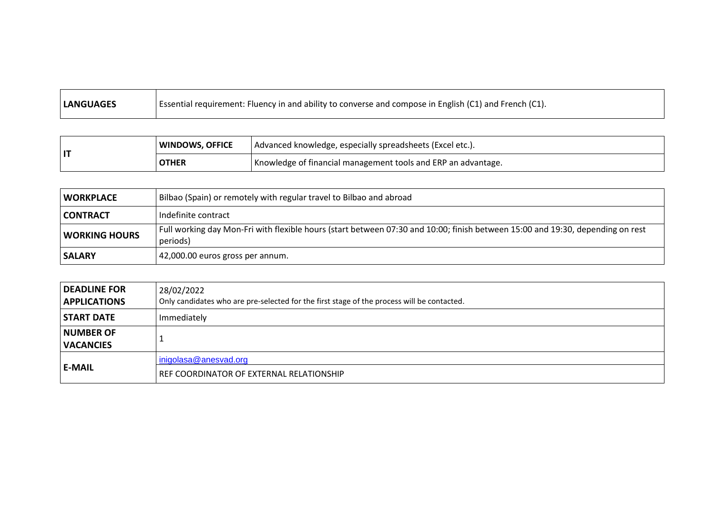| Essential requirement: Fluency in and ability to converse and compose in English (C1) and French (C1).<br><b>LANGUAGES</b> |
|----------------------------------------------------------------------------------------------------------------------------|
|----------------------------------------------------------------------------------------------------------------------------|

| l IT | WINDOWS, OFFICE | Advanced knowledge, especially spreadsheets (Excel etc.).     |
|------|-----------------|---------------------------------------------------------------|
|      | <b>OTHER</b>    | Knowledge of financial management tools and ERP an advantage. |

| <b>WORKPLACE</b>     | Bilbao (Spain) or remotely with regular travel to Bilbao and abroad                                                                        |
|----------------------|--------------------------------------------------------------------------------------------------------------------------------------------|
| CONTRACT             | Indefinite contract                                                                                                                        |
| <b>WORKING HOURS</b> | Full working day Mon-Fri with flexible hours (start between 07:30 and 10:00; finish between 15:00 and 19:30, depending on rest<br>periods) |
| <b>SALARY</b>        | 42,000.00 euros gross per annum.                                                                                                           |

| DEADLINE FOR        | 28/02/2022                                                                                 |  |
|---------------------|--------------------------------------------------------------------------------------------|--|
| <b>APPLICATIONS</b> | Only candidates who are pre-selected for the first stage of the process will be contacted. |  |
| <b>START DATE</b>   | Immediately                                                                                |  |
| <b>NUMBER OF</b>    |                                                                                            |  |
| <b>VACANCIES</b>    |                                                                                            |  |
| l E-MAIL            | inigolasa@anesvad.org                                                                      |  |
|                     | REF COORDINATOR OF EXTERNAL RELATIONSHIP                                                   |  |